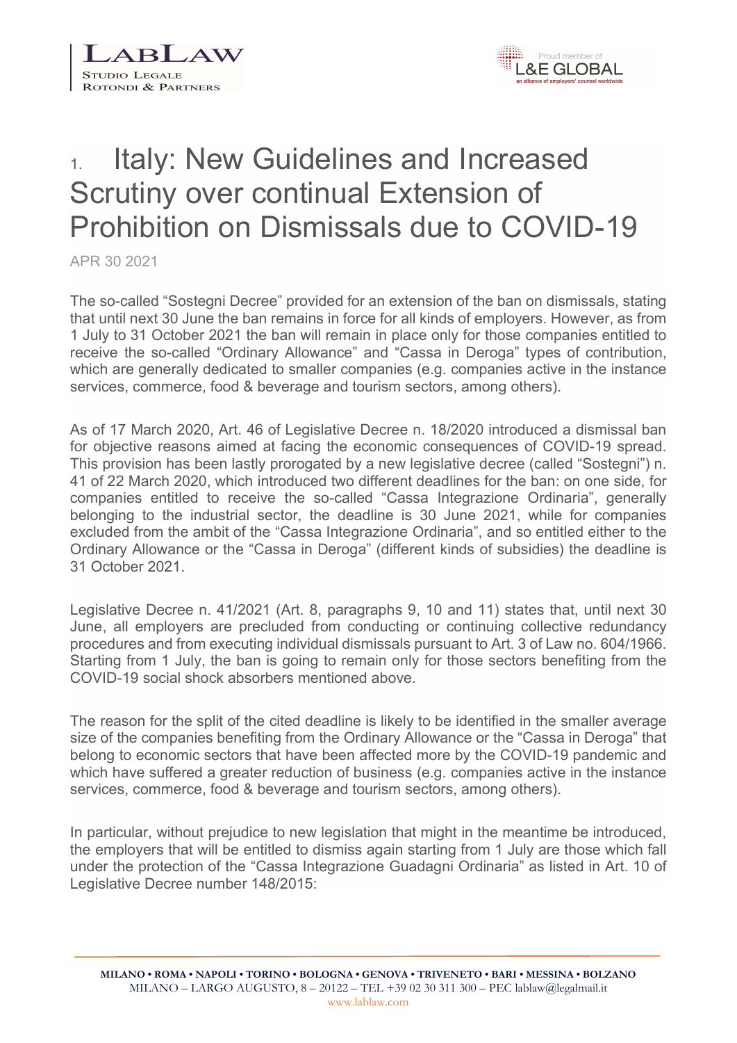



## 1. Italy: New Guidelines and Increased Scrutiny over continual Extension of Prohibition on Dismissals due to COVID-19

APR 30 2021

The so-called "Sostegni Decree" provided for an extension of the ban on dismissals, stating that until next 30 June the ban remains in force for all kinds of employers. However, as from 1 July to 31 October 2021 the ban will remain in place only for those companies entitled to receive the so-called "Ordinary Allowance" and "Cassa in Deroga" types of contribution, which are generally dedicated to smaller companies (e.g. companies active in the instance services, commerce, food & beverage and tourism sectors, among others).

As of 17 March 2020, Art. 46 of Legislative Decree n. 18/2020 introduced a dismissal ban for objective reasons aimed at facing the economic consequences of COVID-19 spread. This provision has been lastly prorogated by a new legislative decree (called "Sostegni") n. 41 of 22 March 2020, which introduced two different deadlines for the ban: on one side, for companies entitled to receive the so-called "Cassa Integrazione Ordinaria", generally belonging to the industrial sector, the deadline is 30 June 2021, while for companies excluded from the ambit of the "Cassa Integrazione Ordinaria", and so entitled either to the Ordinary Allowance or the "Cassa in Deroga" (different kinds of subsidies) the deadline is 31 October 2021.

Legislative Decree n. 41/2021 (Art. 8, paragraphs 9, 10 and 11) states that, until next 30 June, all employers are precluded from conducting or continuing collective redundancy procedures and from executing individual dismissals pursuant to Art. 3 of Law no. 604/1966. Starting from 1 July, the ban is going to remain only for those sectors benefiting from the COVID-19 social shock absorbers mentioned above.

The reason for the split of the cited deadline is likely to be identified in the smaller average size of the companies benefiting from the Ordinary Allowance or the "Cassa in Deroga" that belong to economic sectors that have been affected more by the COVID-19 pandemic and which have suffered a greater reduction of business (e.g. companies active in the instance services, commerce, food & beverage and tourism sectors, among others).

In particular, without prejudice to new legislation that might in the meantime be introduced, the employers that will be entitled to dismiss again starting from 1 July are those which fall under the protection of the "Cassa Integrazione Guadagni Ordinaria" as listed in Art. 10 of Legislative Decree number 148/2015: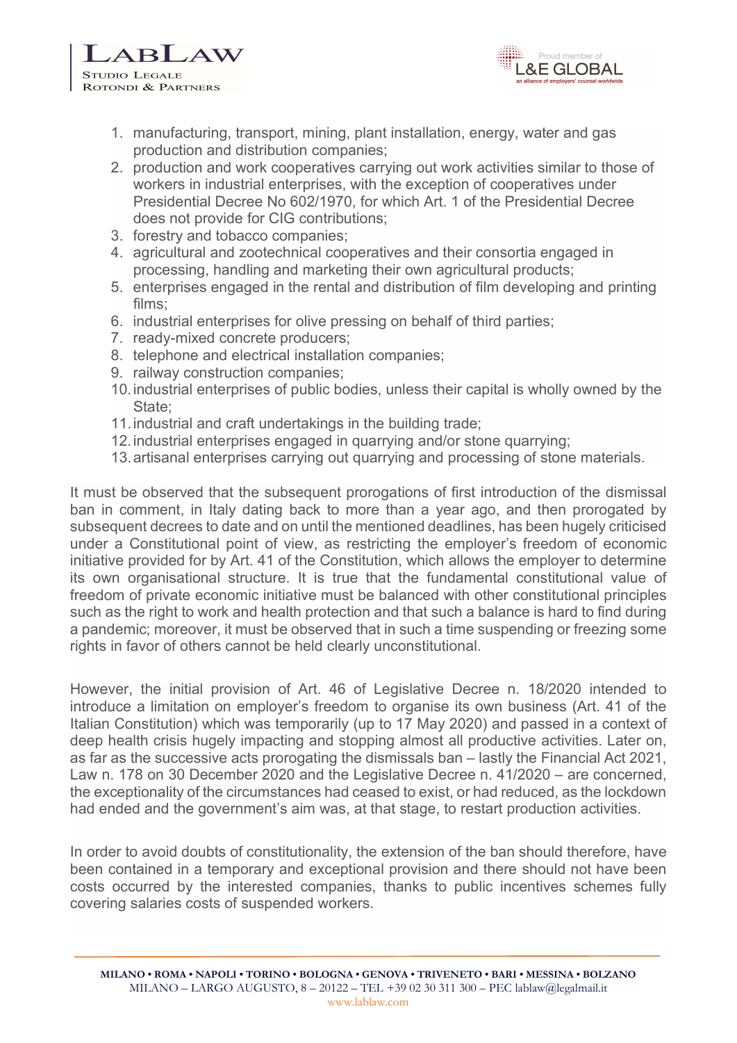



- 1. manufacturing, transport, mining, plant installation, energy, water and gas production and distribution companies;
- 2. production and work cooperatives carrying out work activities similar to those of workers in industrial enterprises, with the exception of cooperatives under Presidential Decree No 602/1970, for which Art. 1 of the Presidential Decree does not provide for CIG contributions;
- 3. forestry and tobacco companies;
- 4. agricultural and zootechnical cooperatives and their consortia engaged in processing, handling and marketing their own agricultural products;
- 5. enterprises engaged in the rental and distribution of film developing and printing films;
- 6. industrial enterprises for olive pressing on behalf of third parties;
- 7. ready-mixed concrete producers;
- 8. telephone and electrical installation companies;
- 9. railway construction companies;
- 10. industrial enterprises of public bodies, unless their capital is wholly owned by the State;
- 11. industrial and craft undertakings in the building trade;
- 12. industrial enterprises engaged in quarrying and/or stone quarrying;
- 13. artisanal enterprises carrying out quarrying and processing of stone materials.

It must be observed that the subsequent prorogations of first introduction of the dismissal ban in comment, in Italy dating back to more than a year ago, and then prorogated by subsequent decrees to date and on until the mentioned deadlines, has been hugely criticised under a Constitutional point of view, as restricting the employer's freedom of economic initiative provided for by Art. 41 of the Constitution, which allows the employer to determine its own organisational structure. It is true that the fundamental constitutional value of freedom of private economic initiative must be balanced with other constitutional principles such as the right to work and health protection and that such a balance is hard to find during a pandemic; moreover, it must be observed that in such a time suspending or freezing some rights in favor of others cannot be held clearly unconstitutional.

However, the initial provision of Art. 46 of Legislative Decree n. 18/2020 intended to introduce a limitation on employer's freedom to organise its own business (Art. 41 of the Italian Constitution) which was temporarily (up to 17 May 2020) and passed in a context of deep health crisis hugely impacting and stopping almost all productive activities. Later on, as far as the successive acts prorogating the dismissals ban – lastly the Financial Act 2021, Law n. 178 on 30 December 2020 and the Legislative Decree n. 41/2020 – are concerned, the exceptionality of the circumstances had ceased to exist, or had reduced, as the lockdown had ended and the government's aim was, at that stage, to restart production activities.

In order to avoid doubts of constitutionality, the extension of the ban should therefore, have been contained in a temporary and exceptional provision and there should not have been costs occurred by the interested companies, thanks to public incentives schemes fully covering salaries costs of suspended workers.